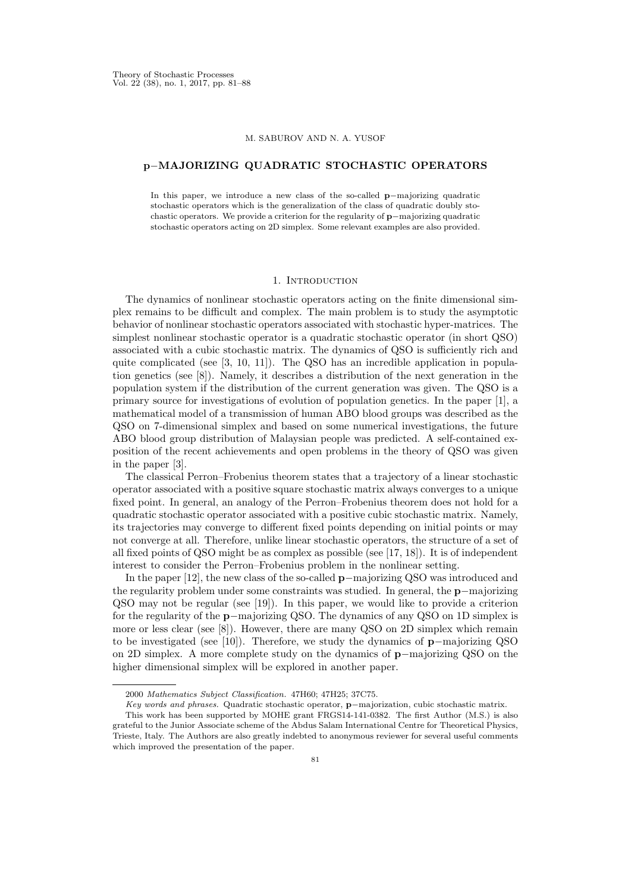### M. SABUROV AND N. A. YUSOF

## p−MAJORIZING QUADRATIC STOCHASTIC OPERATORS

In this paper, we introduce a new class of the so-called p−majorizing quadratic stochastic operators which is the generalization of the class of quadratic doubly stochastic operators. We provide a criterion for the regularity of p−majorizing quadratic stochastic operators acting on 2D simplex. Some relevant examples are also provided.

## 1. INTRODUCTION

The dynamics of nonlinear stochastic operators acting on the finite dimensional simplex remains to be difficult and complex. The main problem is to study the asymptotic behavior of nonlinear stochastic operators associated with stochastic hyper-matrices. The simplest nonlinear stochastic operator is a quadratic stochastic operator (in short QSO) associated with a cubic stochastic matrix. The dynamics of QSO is sufficiently rich and quite complicated (see  $[3, 10, 11]$ ). The QSO has an incredible application in population genetics (see [8]). Namely, it describes a distribution of the next generation in the population system if the distribution of the current generation was given. The QSO is a primary source for investigations of evolution of population genetics. In the paper [1], a mathematical model of a transmission of human ABO blood groups was described as the QSO on 7-dimensional simplex and based on some numerical investigations, the future ABO blood group distribution of Malaysian people was predicted. A self-contained exposition of the recent achievements and open problems in the theory of QSO was given in the paper [3].

The classical Perron–Frobenius theorem states that a trajectory of a linear stochastic operator associated with a positive square stochastic matrix always converges to a unique fixed point. In general, an analogy of the Perron–Frobenius theorem does not hold for a quadratic stochastic operator associated with a positive cubic stochastic matrix. Namely, its trajectories may converge to different fixed points depending on initial points or may not converge at all. Therefore, unlike linear stochastic operators, the structure of a set of all fixed points of QSO might be as complex as possible (see [17, 18]). It is of independent interest to consider the Perron–Frobenius problem in the nonlinear setting.

In the paper [12], the new class of the so-called p−majorizing QSO was introduced and the regularity problem under some constraints was studied. In general, the p−majorizing QSO may not be regular (see [19]). In this paper, we would like to provide a criterion for the regularity of the p−majorizing QSO. The dynamics of any QSO on 1D simplex is more or less clear (see [8]). However, there are many QSO on 2D simplex which remain to be investigated (see [10]). Therefore, we study the dynamics of p−majorizing QSO on 2D simplex. A more complete study on the dynamics of p−majorizing QSO on the higher dimensional simplex will be explored in another paper.

<sup>2000</sup> Mathematics Subject Classification. 47H60; 47H25; 37C75.

Key words and phrases. Quadratic stochastic operator, p−majorization, cubic stochastic matrix.

This work has been supported by MOHE grant FRGS14-141-0382. The first Author (M.S.) is also grateful to the Junior Associate scheme of the Abdus Salam International Centre for Theoretical Physics, Trieste, Italy. The Authors are also greatly indebted to anonymous reviewer for several useful comments which improved the presentation of the paper.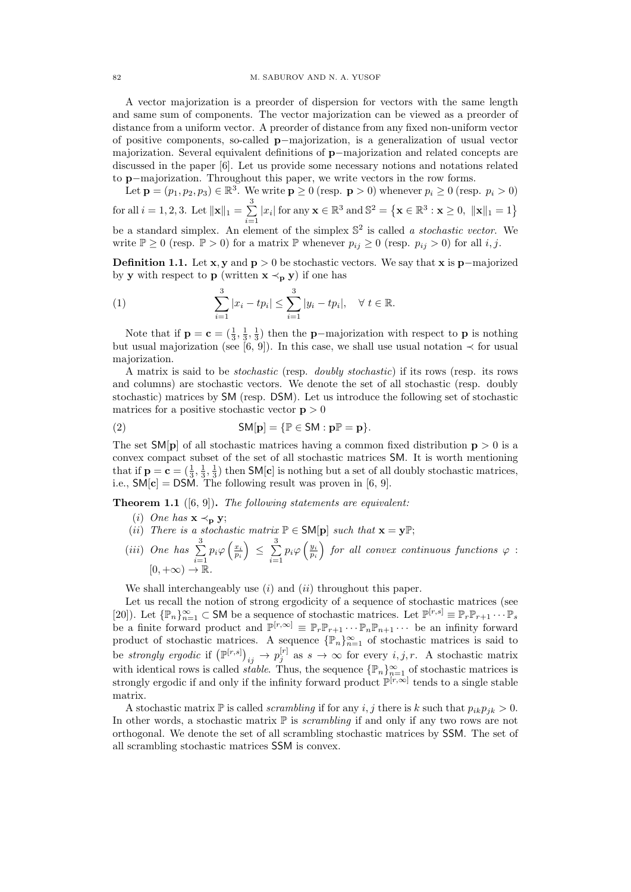A vector majorization is a preorder of dispersion for vectors with the same length and same sum of components. The vector majorization can be viewed as a preorder of distance from a uniform vector. A preorder of distance from any fixed non-uniform vector of positive components, so-called p−majorization, is a generalization of usual vector majorization. Several equivalent definitions of p−majorization and related concepts are discussed in the paper [6]. Let us provide some necessary notions and notations related to p−majorization. Throughout this paper, we write vectors in the row forms.

Let  $\mathbf{p} = (p_1, p_2, p_3) \in \mathbb{R}^3$ . We write  $\mathbf{p} \ge 0$  (resp.  $\mathbf{p} > 0$ ) whenever  $p_i \ge 0$  (resp.  $p_i > 0$ ) for all  $i = 1, 2, 3$ . Let  $\|\mathbf{x}\|_1 = \sum_{i=1}^{3}$  $\sum_{i=1}^{8} |x_i|$  for any  $\mathbf{x} \in \mathbb{R}^3$  and  $\mathbb{S}^2 = \left\{ \mathbf{x} \in \mathbb{R}^3 : \mathbf{x} \ge 0, \ ||\mathbf{x}||_1 = 1 \right\}$ be a standard simplex. An element of the simplex  $\mathbb{S}^2$  is called a stochastic vector. We write  $\mathbb{P} \ge 0$  (resp.  $\mathbb{P} > 0$ ) for a matrix  $\mathbb{P}$  whenever  $p_{ij} \ge 0$  (resp.  $p_{ij} > 0$ ) for all i, j.

Definition 1.1. Let  $x, y$  and  $p > 0$  be stochastic vectors. We say that  $x$  is p−majorized by y with respect to p (written  $x \prec_p y$ ) if one has

(1) 
$$
\sum_{i=1}^{3} |x_i - tp_i| \leq \sum_{i=1}^{3} |y_i - tp_i|, \quad \forall \ t \in \mathbb{R}.
$$

Note that if  $\mathbf{p} = \mathbf{c} = (\frac{1}{3}, \frac{1}{3}, \frac{1}{3})$  then the **p**-majorization with respect to **p** is nothing but usual majorization (see [6, 9]). In this case, we shall use usual notation  $\prec$  for usual majorization.

A matrix is said to be stochastic (resp. doubly stochastic) if its rows (resp. its rows and columns) are stochastic vectors. We denote the set of all stochastic (resp. doubly stochastic) matrices by SM (resp. DSM). Let us introduce the following set of stochastic matrices for a positive stochastic vector  $p > 0$ 

(2) 
$$
\mathsf{SM}[\mathbf{p}] = \{ \mathbb{P} \in \mathsf{SM} : \mathbf{p} \mathbb{P} = \mathbf{p} \}.
$$

The set  $SM[p]$  of all stochastic matrices having a common fixed distribution  $p > 0$  is a convex compact subset of the set of all stochastic matrices SM. It is worth mentioning that if  $p = c = (\frac{1}{3}, \frac{1}{3}, \frac{1}{3})$  then SM[c] is nothing but a set of all doubly stochastic matrices, i.e.,  $SM[c] = DSM$ . The following result was proven in [6, 9].

**Theorem 1.1** ([6, 9]). The following statements are equivalent:

- (i) One has  $\mathbf{x} \prec_{\mathbf{p}} \mathbf{y}$ ;
- (ii) There is a stochastic matrix  $\mathbb{P} \in \mathsf{SM}[\mathbf{p}]$  such that  $\mathbf{x} = \mathbf{y} \mathbb{P};$
- (*iii*) One has  $\sum_{n=1}^3$  $\sum_{i=1}^{3} p_i \varphi \left( \frac{x_i}{p_i} \right) \leq \sum_{i=1}^{3}$  $\sum_{i=1}^{3} p_i \varphi \left(\frac{y_i}{p_i}\right)$  for all convex continuous functions  $\varphi$ :  $[0, +\infty) \rightarrow \mathbb{R}$ .

We shall interchangeably use  $(i)$  and  $(ii)$  throughout this paper.

Let us recall the notion of strong ergodicity of a sequence of stochastic matrices (see [20]). Let  $\{\mathbb{P}_n\}_{n=1}^{\infty} \subset$  SM be a sequence of stochastic matrices. Let  $\mathbb{P}^{[r,s]} \equiv \mathbb{P}_r \mathbb{P}_{r+1} \cdots \mathbb{P}_s$ be a finite forward product and  $\mathbb{P}^{[r,\infty]} \equiv \mathbb{P}_r \mathbb{P}_{r+1} \cdots \mathbb{P}_n \mathbb{P}_{n+1} \cdots$  be an infinity forward product of stochastic matrices. A sequence  $\{\mathbb{P}_n\}_{n=1}^{\infty}$  of stochastic matrices is said to be strongly ergodic if  $(\mathbb{P}^{[r,s]})_{ij} \to p_j^{[r]}$  as  $s \to \infty$  for every  $i, j, r$ . A stochastic matrix with identical rows is called *stable*. Thus, the sequence  $\{\mathbb{P}_n\}_{n=1}^{\infty}$  of stochastic matrices is strongly ergodic if and only if the infinity forward product  $\mathbb{P}^{[r,\infty]}$  tends to a single stable matrix.

A stochastic matrix  $\mathbb P$  is called *scrambling* if for any *i*, *j* there is *k* such that  $p_{ik}p_{jk} > 0$ . In other words, a stochastic matrix  $\mathbb P$  is *scrambling* if and only if any two rows are not orthogonal. We denote the set of all scrambling stochastic matrices by SSM. The set of all scrambling stochastic matrices SSM is convex.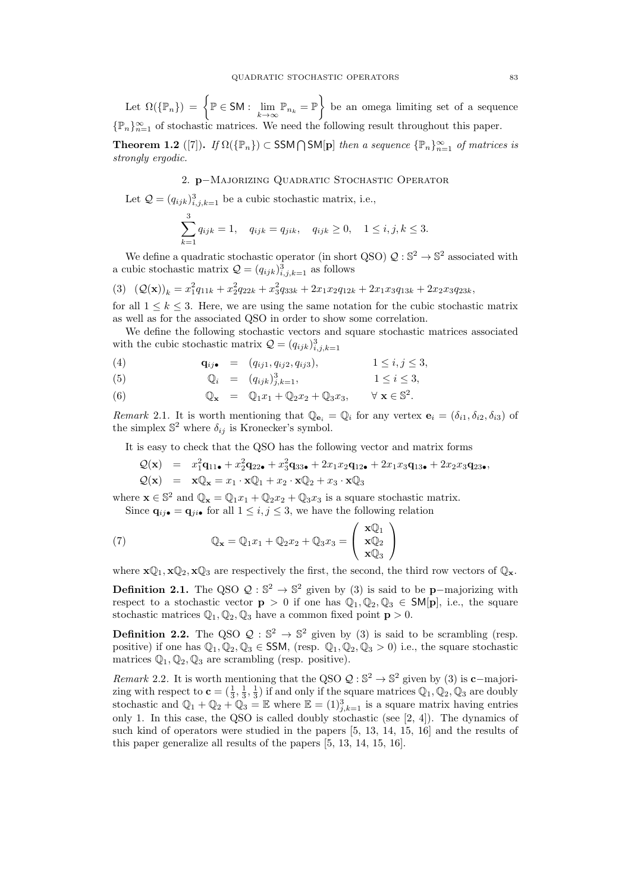Let  $\Omega(\{\mathbb{P}_n\}) = \left\{\mathbb{P} \in \mathsf{SM} : \lim_{k \to \infty} \mathbb{P}_{n_k} = \mathbb{P} \right\}$  be an omega limiting set of a sequence { $\mathbb{P}_n$ }<sub>n=1</sub> of stochastic matrices. We need the following result throughout this paper.

**Theorem 1.2** ([7]). If  $\Omega({\mathbb{P}_n}) \subset \text{SSM} \cap \text{SM[p]}$  then a sequence  ${\mathbb{P}_n}_{n=1}^{\infty}$  of matrices is strongly ergodic.

# 2. p−Majorizing Quadratic Stochastic Operator

Let  $\mathcal{Q} = (q_{ijk})^3_{i,j,k=1}$  be a cubic stochastic matrix, i.e.,

$$
\sum_{k=1}^{3} q_{ijk} = 1, \quad q_{ijk} = q_{jik}, \quad q_{ijk} \ge 0, \quad 1 \le i, j, k \le 3.
$$

We define a quadratic stochastic operator (in short QSO)  $\mathcal{Q}: \mathbb{S}^2 \to \mathbb{S}^2$  associated with a cubic stochastic matrix  $Q = (q_{ijk})_{i,j,k=1}^3$  as follows

$$
(3) \quad (\mathcal{Q}(\mathbf{x}))_k = x_1^2 q_{11k} + x_2^2 q_{22k} + x_3^2 q_{33k} + 2x_1 x_2 q_{12k} + 2x_1 x_3 q_{13k} + 2x_2 x_3 q_{23k},
$$

for all  $1 \leq k \leq 3$ . Here, we are using the same notation for the cubic stochastic matrix as well as for the associated QSO in order to show some correlation.

We define the following stochastic vectors and square stochastic matrices associated with the cubic stochastic matrix  $\mathcal{Q} = (q_{ijk})^3_{i,j,k=1}$ 

(4) 
$$
\mathbf{q}_{ij \bullet} = (q_{ij1}, q_{ij2}, q_{ij3}), \qquad 1 \le i, j \le 3,
$$

(5) 
$$
\mathbb{Q}_i = (q_{ijk})_{j,k=1}^3, \qquad 1 \le i \le 3,
$$

(6) 
$$
\mathbb{Q}_{\mathbf{x}} = \mathbb{Q}_1 x_1 + \mathbb{Q}_2 x_2 + \mathbb{Q}_3 x_3, \qquad \forall \mathbf{x} \in \mathbb{S}^2.
$$

Remark 2.1. It is worth mentioning that  $\mathbb{Q}_{\mathbf{e}_i} = \mathbb{Q}_i$  for any vertex  $\mathbf{e}_i = (\delta_{i1}, \delta_{i2}, \delta_{i3})$  of the simplex  $\mathbb{S}^2$  where  $\delta_{ij}$  is Kronecker's symbol.

It is easy to check that the QSO has the following vector and matrix forms

$$
Q(\mathbf{x}) = x_1^2 \mathbf{q}_{11\bullet} + x_2^2 \mathbf{q}_{22\bullet} + x_3^2 \mathbf{q}_{33\bullet} + 2x_1 x_2 \mathbf{q}_{12\bullet} + 2x_1 x_3 \mathbf{q}_{13\bullet} + 2x_2 x_3 \mathbf{q}_{23\bullet},
$$
  
\n
$$
Q(\mathbf{x}) = \mathbf{x} \mathbb{Q}_\mathbf{x} = x_1 \cdot \mathbf{x} \mathbb{Q}_1 + x_2 \cdot \mathbf{x} \mathbb{Q}_2 + x_3 \cdot \mathbf{x} \mathbb{Q}_3
$$

where  $\mathbf{x} \in \mathbb{S}^2$  and  $\mathbb{Q}_\mathbf{x} = \mathbb{Q}_1 x_1 + \mathbb{Q}_2 x_2 + \mathbb{Q}_3 x_3$  is a square stochastic matrix. Since  $\mathbf{q}_{ij\bullet} = \mathbf{q}_{ji\bullet}$  for all  $1 \leq i, j \leq 3$ , we have the following relation

(7) 
$$
\mathbb{Q}_{\mathbf{x}} = \mathbb{Q}_1 x_1 + \mathbb{Q}_2 x_2 + \mathbb{Q}_3 x_3 = \begin{pmatrix} \mathbf{x} \mathbb{Q}_1 \\ \mathbf{x} \mathbb{Q}_2 \\ \mathbf{x} \mathbb{Q}_3 \end{pmatrix}
$$

where  $\mathbf{x}\mathbb{Q}_1, \mathbf{x}\mathbb{Q}_2, \mathbf{x}\mathbb{Q}_3$  are respectively the first, the second, the third row vectors of  $\mathbb{Q}_\mathbf{x}$ .

**Definition 2.1.** The QSO  $Q : \mathbb{S}^2 \to \mathbb{S}^2$  given by (3) is said to be **p**-majorizing with respect to a stochastic vector  $p > 0$  if one has  $\mathbb{Q}_1, \mathbb{Q}_2, \mathbb{Q}_3 \in SM[p]$ , i.e., the square stochastic matrices  $\mathbb{Q}_1, \mathbb{Q}_2, \mathbb{Q}_3$  have a common fixed point  $p > 0$ .

**Definition 2.2.** The QSO  $Q : \mathbb{S}^2 \to \mathbb{S}^2$  given by (3) is said to be scrambling (resp. positive) if one has  $\mathbb{Q}_1, \mathbb{Q}_2, \mathbb{Q}_3 \in$  SSM, (resp.  $\mathbb{Q}_1, \mathbb{Q}_2, \mathbb{Q}_3 > 0$ ) i.e., the square stochastic matrices  $\mathbb{Q}_1, \mathbb{Q}_2, \mathbb{Q}_3$  are scrambling (resp. positive).

Remark 2.2. It is worth mentioning that the QSO  $\mathcal{Q}: \mathbb{S}^2 \to \mathbb{S}^2$  given by (3) is **c**-majorizing with respect to  $\mathbf{c} = (\frac{1}{3}, \frac{1}{3}, \frac{1}{3})$  if and only if the square matrices  $\mathbb{Q}_1, \mathbb{Q}_2, \mathbb{Q}_3$  are doubly stochastic and  $\mathbb{Q}_1 + \mathbb{Q}_2 + \mathbb{Q}_3 = \mathbb{E}$  where  $\mathbb{E} = (1)_{j,k=1}^3$  is a square matrix having entries only 1. In this case, the QSO is called doubly stochastic (see [2, 4]). The dynamics of such kind of operators were studied in the papers [5, 13, 14, 15, 16] and the results of this paper generalize all results of the papers [5, 13, 14, 15, 16].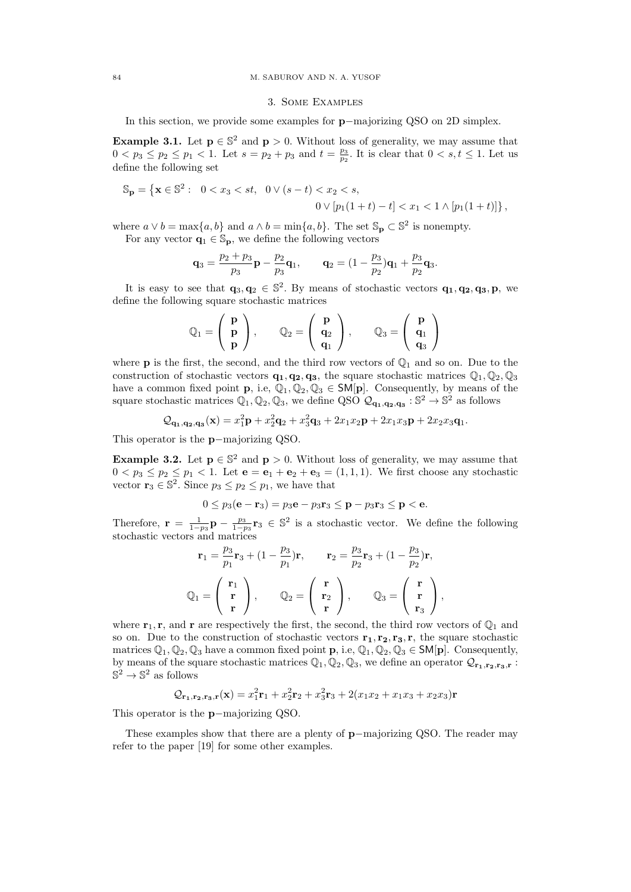## 3. Some Examples

In this section, we provide some examples for p−majorizing QSO on 2D simplex.

**Example 3.1.** Let  $p \in \mathbb{S}^2$  and  $p > 0$ . Without loss of generality, we may assume that  $0 < p_3 \le p_2 \le p_1 < 1$ . Let  $s = p_2 + p_3$  and  $t = \frac{p_3}{p_2}$ . It is clear that  $0 < s, t \le 1$ . Let us define the following set

$$
\mathbb{S}_{\mathbf{p}} = \left\{ \mathbf{x} \in \mathbb{S}^2 : \ 0 < x_3 < st, \ 0 \lor (s - t) < x_2 < s, \\ 0 \lor [p_1(1 + t) - t] < x_1 < 1 \land [p_1(1 + t)] \right\},
$$

where  $a \vee b = \max\{a, b\}$  and  $a \wedge b = \min\{a, b\}$ . The set  $\mathbb{S}_p \subset \mathbb{S}^2$  is nonempty.

For any vector  $\mathbf{q}_1 \in \mathbb{S}_{\mathbf{p}}$ , we define the following vectors

$$
\mathbf{q}_3 = \frac{p_2 + p_3}{p_3} \mathbf{p} - \frac{p_2}{p_3} \mathbf{q}_1, \qquad \mathbf{q}_2 = (1 - \frac{p_3}{p_2}) \mathbf{q}_1 + \frac{p_3}{p_2} \mathbf{q}_3.
$$

It is easy to see that  $\mathbf{q}_3, \mathbf{q}_2 \in \mathbb{S}^2$ . By means of stochastic vectors  $\mathbf{q}_1, \mathbf{q}_2, \mathbf{q}_3, \mathbf{p}$ , we define the following square stochastic matrices

$$
\mathbb{Q}_1 = \left( \begin{array}{c} \mathbf{p} \\ \mathbf{p} \\ \mathbf{p} \end{array} \right), \qquad \mathbb{Q}_2 = \left( \begin{array}{c} \mathbf{p} \\ \mathbf{q}_2 \\ \mathbf{q}_1 \end{array} \right), \qquad \mathbb{Q}_3 = \left( \begin{array}{c} \mathbf{p} \\ \mathbf{q}_1 \\ \mathbf{q}_3 \end{array} \right)
$$

where **p** is the first, the second, and the third row vectors of  $\mathbb{Q}_1$  and so on. Due to the construction of stochastic vectors  $\mathbf{q}_1, \mathbf{q}_2, \mathbf{q}_3$ , the square stochastic matrices  $\mathbb{Q}_1, \mathbb{Q}_2, \mathbb{Q}_3$ have a common fixed point **p**, i.e,  $\mathbb{Q}_1, \mathbb{Q}_2, \mathbb{Q}_3 \in \mathsf{SM}[\mathbf{p}]$ . Consequently, by means of the square stochastic matrices  $\mathbb{Q}_1, \mathbb{Q}_2, \mathbb{Q}_3$ , we define QSO  $\mathcal{Q}_{q_1,q_2,q_3}: \mathbb{S}^2 \to \mathbb{S}^2$  as follows

$$
Q_{\mathbf{q_1},\mathbf{q_2},\mathbf{q_3}}(\mathbf{x}) = x_1^2 \mathbf{p} + x_2^2 \mathbf{q_2} + x_3^2 \mathbf{q_3} + 2x_1 x_2 \mathbf{p} + 2x_1 x_3 \mathbf{p} + 2x_2 x_3 \mathbf{q_1}.
$$

This operator is the p−majorizing QSO.

**Example 3.2.** Let  $p \in \mathbb{S}^2$  and  $p > 0$ . Without loss of generality, we may assume that  $0 < p_3 \le p_2 \le p_1 < 1$ . Let  $e = e_1 + e_2 + e_3 = (1, 1, 1)$ . We first choose any stochastic vector  $\mathbf{r}_3 \in \mathbb{S}^2$ . Since  $p_3 \leq p_2 \leq p_1$ , we have that

$$
0 \leq p_3(\mathbf{e} - \mathbf{r}_3) = p_3 \mathbf{e} - p_3 \mathbf{r}_3 \leq \mathbf{p} - p_3 \mathbf{r}_3 \leq \mathbf{p} < \mathbf{e}.
$$

Therefore,  $\mathbf{r} = \frac{1}{1-p_3} \mathbf{p} - \frac{p_3}{1-p_3} \mathbf{r}_3 \in \mathbb{S}^2$  is a stochastic vector. We define the following stochastic vectors and matrices

$$
\mathbf{r}_1 = \frac{p_3}{p_1} \mathbf{r}_3 + (1 - \frac{p_3}{p_1}) \mathbf{r}, \qquad \mathbf{r}_2 = \frac{p_3}{p_2} \mathbf{r}_3 + (1 - \frac{p_3}{p_2}) \mathbf{r},
$$

$$
\mathbb{Q}_1 = \begin{pmatrix} \mathbf{r}_1 \\ \mathbf{r} \\ \mathbf{r} \end{pmatrix}, \qquad \mathbb{Q}_2 = \begin{pmatrix} \mathbf{r} \\ \mathbf{r}_2 \\ \mathbf{r} \end{pmatrix}, \qquad \mathbb{Q}_3 = \begin{pmatrix} \mathbf{r} \\ \mathbf{r} \\ \mathbf{r}_3 \end{pmatrix},
$$

where  $\mathbf{r}_1, \mathbf{r}$ , and  $\mathbf{r}$  are respectively the first, the second, the third row vectors of  $\mathbb{Q}_1$  and so on. Due to the construction of stochastic vectors  $\mathbf{r}_1, \mathbf{r}_2, \mathbf{r}_3, \mathbf{r}$ , the square stochastic matrices  $\mathbb{Q}_1, \mathbb{Q}_2, \mathbb{Q}_3$  have a common fixed point  $\mathbf{p}$ , i.e,  $\mathbb{Q}_1, \mathbb{Q}_2, \mathbb{Q}_3 \in \mathsf{SM}[\mathbf{p}]$ . Consequently, by means of the square stochastic matrices  $\mathbb{Q}_1, \mathbb{Q}_2, \mathbb{Q}_3$ , we define an operator  $\mathcal{Q}_{r_1,r_2,r_3,r}$ :  $\mathbb{S}^2 \to \mathbb{S}^2$  as follows

$$
Q_{r_1,r_2,r_3,r}(\mathbf{x}) = x_1^2 r_1 + x_2^2 r_2 + x_3^2 r_3 + 2(x_1 x_2 + x_1 x_3 + x_2 x_3) \mathbf{r}
$$

This operator is the p−majorizing QSO.

These examples show that there are a plenty of p−majorizing QSO. The reader may refer to the paper [19] for some other examples.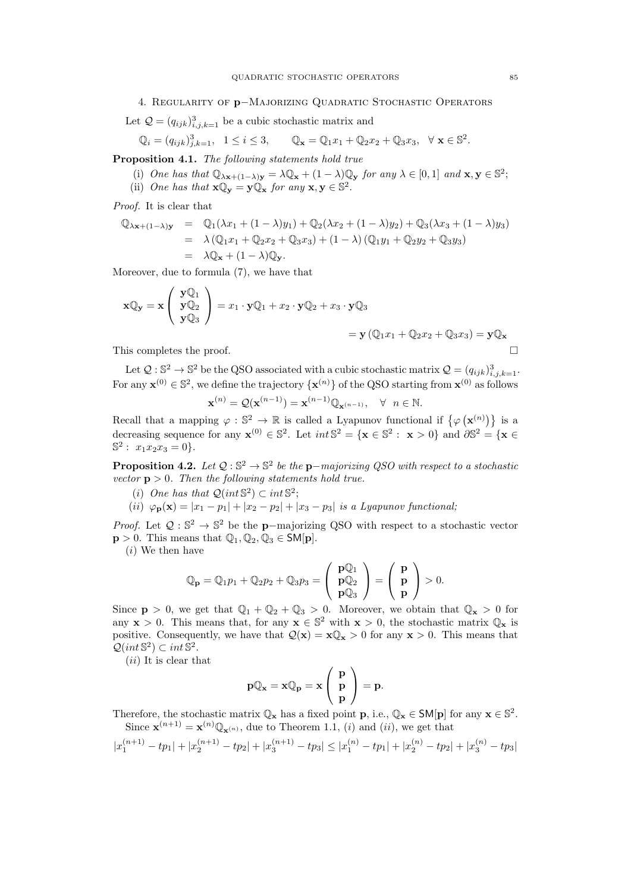Let  $\mathcal{Q} = (q_{ijk})^3_{i,j,k=1}$  be a cubic stochastic matrix and

$$
\mathbb{Q}_i = (q_{ijk})_{j,k=1}^3, \quad 1 \le i \le 3, \qquad \mathbb{Q}_\mathbf{x} = \mathbb{Q}_1 x_1 + \mathbb{Q}_2 x_2 + \mathbb{Q}_3 x_3, \quad \forall \ \mathbf{x} \in \mathbb{S}^2.
$$

Proposition 4.1. The following statements hold true

(i) One has that  $\mathbb{Q}_{\lambda x+(1-\lambda)y} = \lambda \mathbb{Q}_x + (1-\lambda) \mathbb{Q}_y$  for any  $\lambda \in [0,1]$  and  $\mathbf{x}, \mathbf{y} \in \mathbb{S}^2$ ; (ii) One has that  $\mathbf{x} \mathbb{Q}_{\mathbf{y}} = \mathbf{y} \mathbb{Q}_{\mathbf{x}}$  for any  $\mathbf{x}, \mathbf{y} \in \mathbb{S}^2$ .

Proof. It is clear that

$$
\begin{array}{rcl}\n\mathbb{Q}_{\lambda x + (1-\lambda)y} & = & \mathbb{Q}_1(\lambda x_1 + (1-\lambda)y_1) + \mathbb{Q}_2(\lambda x_2 + (1-\lambda)y_2) + \mathbb{Q}_3(\lambda x_3 + (1-\lambda)y_3) \\
& = & \lambda \left( \mathbb{Q}_1 x_1 + \mathbb{Q}_2 x_2 + \mathbb{Q}_3 x_3 \right) + (1-\lambda) \left( \mathbb{Q}_1 y_1 + \mathbb{Q}_2 y_2 + \mathbb{Q}_3 y_3 \right) \\
& = & \lambda \mathbb{Q}_x + (1-\lambda)\mathbb{Q}_y.\n\end{array}
$$

Moreover, due to formula (7), we have that

$$
\mathbf{x} \mathbb{Q}_{\mathbf{y}} = \mathbf{x} \begin{pmatrix} \mathbf{y} \mathbb{Q}_1 \\ \mathbf{y} \mathbb{Q}_2 \\ \mathbf{y} \mathbb{Q}_3 \end{pmatrix} = x_1 \cdot \mathbf{y} \mathbb{Q}_1 + x_2 \cdot \mathbf{y} \mathbb{Q}_2 + x_3 \cdot \mathbf{y} \mathbb{Q}_3
$$
  
=  $\mathbf{y} (\mathbb{Q}_1 x_1 + \mathbb{Q}_2 x_2 + \mathbb{Q}_3 x_3) = \mathbf{y} \mathbb{Q}_{\mathbf{x}}$ 

This completes the proof.

Let  $\mathcal{Q}: \mathbb{S}^2 \to \mathbb{S}^2$  be the QSO associated with a cubic stochastic matrix  $\mathcal{Q} = (q_{ijk})^3_{i,j,k=1}$ . For any  $\mathbf{x}^{(0)} \in \mathbb{S}^2$ , we define the trajectory  $\{\mathbf{x}^{(n)}\}$  of the QSO starting from  $\mathbf{x}^{(0)}$  as follows

$$
\mathbf{x}^{(n)} = \mathcal{Q}(\mathbf{x}^{(n-1)}) = \mathbf{x}^{(n-1)} \mathbb{Q}_{\mathbf{x}^{(n-1)}}, \quad \forall \ n \in \mathbb{N}.
$$

Recall that a mapping  $\varphi : \mathbb{S}^2 \to \mathbb{R}$  is called a Lyapunov functional if  $\{\varphi(\mathbf{x}^{(n)})\}$  is a decreasing sequence for any  $\mathbf{x}^{(0)} \in \mathbb{S}^2$ . Let  $int \mathbb{S}^2 = {\mathbf{x} \in \mathbb{S}^2 : \mathbf{x} > 0}$  and  $\partial \mathbb{S}^2 = {\mathbf{x} \in \mathbb{S}^2}$  $\mathbb{S}^2$ :  $x_1x_2x_3 = 0$ .

**Proposition 4.2.** Let  $Q : \mathbb{S}^2 \to \mathbb{S}^2$  be the p-majorizing QSO with respect to a stochastic vector  $p > 0$ . Then the following statements hold true.

- (i) One has that  $\mathcal{Q}(int \mathbb{S}^2) \subset int \mathbb{S}^2$ ;
- (ii)  $\varphi_{\bf p}({\bf x}) = |x_1 p_1| + |x_2 p_2| + |x_3 p_3|$  is a Lyapunov functional;

*Proof.* Let  $Q : \mathbb{S}^2 \to \mathbb{S}^2$  be the **p**-majorizing QSO with respect to a stochastic vector  $\mathbf{p} > 0$ . This means that  $\mathbb{Q}_1, \mathbb{Q}_2, \mathbb{Q}_3 \in \mathsf{SM}[\mathbf{p}]$ .

(i) We then have

$$
\mathbb{Q}_{\mathbf{p}} = \mathbb{Q}_1 p_1 + \mathbb{Q}_2 p_2 + \mathbb{Q}_3 p_3 = \left(\begin{array}{c} \mathbf{p} \mathbb{Q}_1 \\ \mathbf{p} \mathbb{Q}_2 \\ \mathbf{p} \mathbb{Q}_3 \end{array}\right) = \left(\begin{array}{c} \mathbf{p} \\ \mathbf{p} \\ \mathbf{p} \end{array}\right) > 0.
$$

Since  $p > 0$ , we get that  $\mathbb{Q}_1 + \mathbb{Q}_2 + \mathbb{Q}_3 > 0$ . Moreover, we obtain that  $\mathbb{Q}_x > 0$  for any  $\mathbf{x} > 0$ . This means that, for any  $\mathbf{x} \in \mathbb{S}^2$  with  $\mathbf{x} > 0$ , the stochastic matrix  $\mathbb{Q}_\mathbf{x}$  is positive. Consequently, we have that  $Q(x) = xQ_x > 0$  for any  $x > 0$ . This means that  $\mathcal{Q}(int \, \mathbb{S}^2) \subset int \, \mathbb{S}^2.$ 

 $(ii)$  It is clear that

$$
p\mathbb{Q}_\mathbf{x}=\mathbf{x}\mathbb{Q}_p=\mathbf{x}\left(\begin{array}{c} p \\ p \\ p \end{array}\right)=p.
$$

Therefore, the stochastic matrix  $\mathbb{Q}_x$  has a fixed point  $p$ , i.e.,  $\mathbb{Q}_x \in \mathsf{SM}[p]$  for any  $x \in \mathbb{S}^2$ . Since  $\mathbf{x}^{(n+1)} = \mathbf{x}^{(n)} \mathbb{Q}_{\mathbf{x}^{(n)}},$  due to Theorem 1.1, (*i*) and (*ii*), we get that

$$
|x_1^{(n+1)} - tp_1| + |x_2^{(n+1)} - tp_2| + |x_3^{(n+1)} - tp_3| \le |x_1^{(n)} - tp_1| + |x_2^{(n)} - tp_2| + |x_3^{(n)} - tp_3|
$$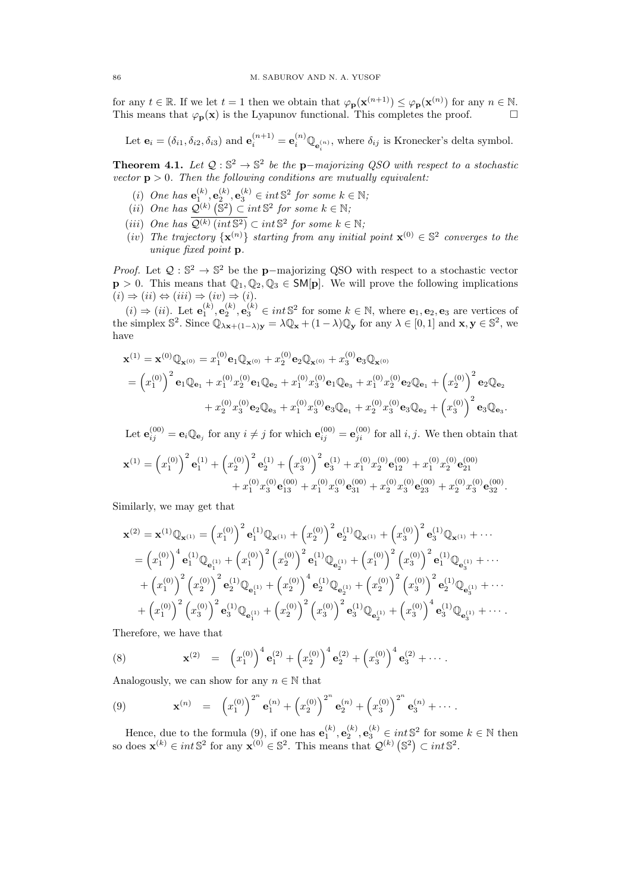for any  $t \in \mathbb{R}$ . If we let  $t = 1$  then we obtain that  $\varphi_{\mathbf{p}}(\mathbf{x}^{(n+1)}) \leq \varphi_{\mathbf{p}}(\mathbf{x}^{(n)})$  for any  $n \in \mathbb{N}$ . This means that  $\varphi_{\mathbf{p}}(\mathbf{x})$  is the Lyapunov functional. This completes the proof.

Let  $\mathbf{e}_i = (\delta_{i1}, \delta_{i2}, \delta_{i3})$  and  $\mathbf{e}_i^{(n+1)} = \mathbf{e}_i^{(n)} \mathbb{Q}_{\mathbf{e}_i^{(n)}},$  where  $\delta_{ij}$  is Kronecker's delta symbol.

**Theorem 4.1.** Let  $Q : \mathbb{S}^2 \to \mathbb{S}^2$  be the p-majorizing QSO with respect to a stochastic vector  $p > 0$ . Then the following conditions are mutually equivalent:

- (i) One has  $\mathbf{e}_1^{(k)}, \mathbf{e}_2^{(k)}, \mathbf{e}_3^{(k)} \in int \mathbb{S}^2$  for some  $k \in \mathbb{N}$ ;
- (*ii*) One has  $\mathcal{Q}^{(k)}(\mathbb{S}^2) \subset int \mathbb{S}^2$  for some  $k \in \mathbb{N}$ ;
- (iii) One has  $\overline{\mathcal{Q}^{(k)}(\text{int} \mathbb{S}^2)} \subset \text{int} \mathbb{S}^2$  for some  $k \in \mathbb{N}$ ;
- (iv) The trajectory  $\{x^{(n)}\}$  starting from any initial point  $x^{(0)} \in \mathbb{S}^2$  converges to the unique fixed point p.

*Proof.* Let  $Q : \mathbb{S}^2 \to \mathbb{S}^2$  be the **p**-majorizing QSO with respect to a stochastic vector  $p > 0$ . This means that  $\mathbb{Q}_1, \mathbb{Q}_2, \mathbb{Q}_3 \in \mathsf{SM}[p]$ . We will prove the following implications  $(i) \Rightarrow (ii) \Leftrightarrow (iii) \Rightarrow (iv) \Rightarrow (i).$ 

 $(i) \Rightarrow (ii)$ . Let  $\mathbf{e}_1^{(k)}, \mathbf{e}_2^{(k)}, \mathbf{e}_3^{(k)} \in int \mathbb{S}^2$  for some  $k \in \mathbb{N}$ , where  $\mathbf{e}_1, \mathbf{e}_2, \mathbf{e}_3$  are vertices of the simplex  $\mathbb{S}^2$ . Since  $\mathbb{Q}_{\lambda x+(1-\lambda)y} = \lambda \mathbb{Q}_{x} + (1-\lambda)\mathbb{Q}_{y}$  for any  $\lambda \in [0,1]$  and  $x, y \in \mathbb{S}^2$ , we have

$$
\mathbf{x}^{(1)} = \mathbf{x}^{(0)} \mathbb{Q}_{\mathbf{x}^{(0)}} = x_1^{(0)} \mathbf{e}_1 \mathbb{Q}_{\mathbf{x}^{(0)}} + x_2^{(0)} \mathbf{e}_2 \mathbb{Q}_{\mathbf{x}^{(0)}} + x_3^{(0)} \mathbf{e}_3 \mathbb{Q}_{\mathbf{x}^{(0)}}
$$
  
=  $\left(x_1^{(0)}\right)^2 \mathbf{e}_1 \mathbb{Q}_{\mathbf{e}_1} + x_1^{(0)} x_2^{(0)} \mathbf{e}_1 \mathbb{Q}_{\mathbf{e}_2} + x_1^{(0)} x_3^{(0)} \mathbf{e}_1 \mathbb{Q}_{\mathbf{e}_3} + x_1^{(0)} x_2^{(0)} \mathbf{e}_2 \mathbb{Q}_{\mathbf{e}_1} + \left(x_2^{(0)}\right)^2 \mathbf{e}_2 \mathbb{Q}_{\mathbf{e}_2} + x_2^{(0)} x_3^{(0)} \mathbf{e}_3 \mathbb{Q}_{\mathbf{e}_1} + x_2^{(0)} x_3^{(0)} \mathbf{e}_3 \mathbb{Q}_{\mathbf{e}_2} + \left(x_3^{(0)}\right)^2 \mathbf{e}_3 \mathbb{Q}_{\mathbf{e}_3}.$ 

Let  $\mathbf{e}_{ij}^{(00)} = \mathbf{e}_i \mathbb{Q}_{\mathbf{e}_j}$  for any  $i \neq j$  for which  $\mathbf{e}_{ij}^{(00)} = \mathbf{e}_{ji}^{(00)}$  for all  $i, j$ . We then obtain that

$$
\mathbf{x}^{(1)} = (x_1^{(0)})^2 \mathbf{e}_1^{(1)} + (x_2^{(0)})^2 \mathbf{e}_2^{(1)} + (x_3^{(0)})^2 \mathbf{e}_3^{(1)} + x_1^{(0)} x_2^{(0)} \mathbf{e}_{12}^{(00)} + x_1^{(0)} x_2^{(0)} \mathbf{e}_{21}^{(00)} + x_1^{(0)} x_3^{(0)} \mathbf{e}_{31}^{(00)} + x_2^{(0)} x_3^{(0)} \mathbf{e}_{32}^{(00)} + x_2^{(0)} x_3^{(0)} \mathbf{e}_{32}^{(00)}.
$$

Similarly, we may get that

$$
\mathbf{x}^{(2)} = \mathbf{x}^{(1)} \mathbb{Q}_{\mathbf{x}^{(1)}} = (x_1^{(0)})^2 \mathbf{e}_1^{(1)} \mathbb{Q}_{\mathbf{x}^{(1)}} + (x_2^{(0)})^2 \mathbf{e}_2^{(1)} \mathbb{Q}_{\mathbf{x}^{(1)}} + (x_3^{(0)})^2 \mathbf{e}_3^{(1)} \mathbb{Q}_{\mathbf{x}^{(1)}} + \cdots
$$
  
\n
$$
= (x_1^{(0)})^4 \mathbf{e}_1^{(1)} \mathbb{Q}_{\mathbf{e}_1^{(1)}} + (x_1^{(0)})^2 (x_2^{(0)})^2 \mathbf{e}_1^{(1)} \mathbb{Q}_{\mathbf{e}_2^{(1)}} + (x_1^{(0)})^2 (x_3^{(0)})^2 \mathbf{e}_1^{(1)} \mathbb{Q}_{\mathbf{e}_3^{(1)}} + \cdots
$$
  
\n
$$
+ (x_1^{(0)})^2 (x_2^{(0)})^2 \mathbf{e}_2^{(1)} \mathbb{Q}_{\mathbf{e}_1^{(1)}} + (x_2^{(0)})^4 \mathbf{e}_2^{(1)} \mathbb{Q}_{\mathbf{e}_2^{(1)}} + (x_2^{(0)})^2 (x_3^{(0)})^2 \mathbf{e}_2^{(1)} \mathbb{Q}_{\mathbf{e}_3^{(1)}} + \cdots
$$
  
\n
$$
+ (x_1^{(0)})^2 (x_3^{(0)})^2 \mathbf{e}_3^{(1)} \mathbb{Q}_{\mathbf{e}_1^{(1)}} + (x_2^{(0)})^2 (x_3^{(0)})^2 \mathbf{e}_3^{(1)} \mathbb{Q}_{\mathbf{e}_2^{(1)}} + (x_3^{(0)})^4 \mathbf{e}_3^{(1)} \mathbb{Q}_{\mathbf{e}_3^{(1)}} + \cdots
$$

Therefore, we have that

(8) 
$$
\mathbf{x}^{(2)} = (x_1^{(0)})^4 \mathbf{e}_1^{(2)} + (x_2^{(0)})^4 \mathbf{e}_2^{(2)} + (x_3^{(0)})^4 \mathbf{e}_3^{(2)} + \cdots
$$

Analogously, we can show for any  $n \in \mathbb{N}$  that

(9) 
$$
\mathbf{x}^{(n)} = (x_1^{(0)})^{2^n} \mathbf{e}_1^{(n)} + (x_2^{(0)})^{2^n} \mathbf{e}_2^{(n)} + (x_3^{(0)})^{2^n} \mathbf{e}_3^{(n)} + \cdots
$$

Hence, due to the formula (9), if one has  $e_1^{(k)}$ ,  $e_2^{(k)}$ ,  $e_3^{(k)}$   $\in$  *int*  $\mathbb{S}^2$  for some  $k \in \mathbb{N}$  then so does  $\mathbf{x}^{(k)} \in int \mathbb{S}^2$  for any  $\mathbf{x}^{(0)} \in \mathbb{S}^2$ . This means that  $\mathcal{Q}^{(k)}$  ( $\mathbb{S}^2$ )  $\subset int \mathbb{S}^2$ .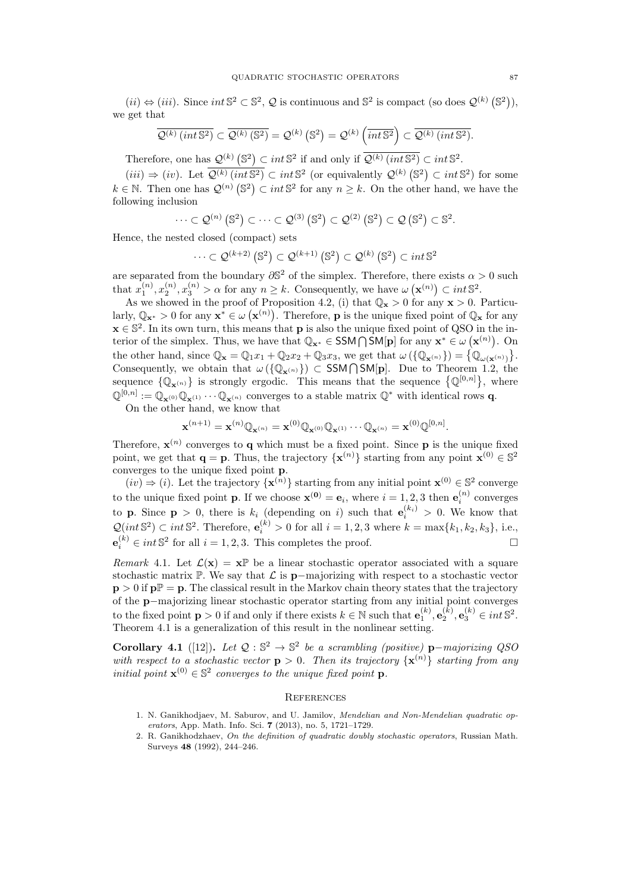$(ii) \Leftrightarrow (iii)$ . Since  $int \mathbb{S}^2 \subset \mathbb{S}^2$ ,  $\mathcal{Q}$  is continuous and  $\mathbb{S}^2$  is compact (so does  $\mathcal{Q}^{(k)}(\mathbb{S}^2)$ ), we get that

$$
\overline{\mathcal{Q}^{(k)}\left(int\,\mathbb{S}^2\right)} \subset \overline{\mathcal{Q}^{(k)}\left(\mathbb{S}^2\right)} = \mathcal{Q}^{(k)}\left(\mathbb{S}^2\right) = \mathcal{Q}^{(k)}\left(int\,\mathbb{S}^2\right) \subset \overline{\mathcal{Q}^{(k)}\left(int\,\mathbb{S}^2\right)}.
$$

Therefore, one has  $\mathcal{Q}^{(k)}(\mathbb{S}^2) \subset int \mathbb{S}^2$  if and only if  $\overline{\mathcal{Q}^{(k)}(int \mathbb{S}^2)} \subset int \mathbb{S}^2$ .

 $(iii) \Rightarrow (iv)$ . Let  $\overline{\mathcal{Q}^{(k)}(int \mathbb{S}^2)} \subset int \mathbb{S}^2$  (or equivalently  $\mathcal{Q}^{(k)}(\mathbb{S}^2) \subset int \mathbb{S}^2$ ) for some  $k \in \mathbb{N}$ . Then one has  $\mathcal{Q}^{(n)}(\mathbb{S}^2) \subset \text{int } \mathbb{S}^2$  for any  $n \geq k$ . On the other hand, we have the following inclusion

$$
\cdots \subset \mathcal{Q}^{(n)}\left(\mathbb{S}^2\right) \subset \cdots \subset \mathcal{Q}^{(3)}\left(\mathbb{S}^2\right) \subset \mathcal{Q}^{(2)}\left(\mathbb{S}^2\right) \subset \mathcal{Q}\left(\mathbb{S}^2\right) \subset \mathbb{S}^2.
$$

Hence, the nested closed (compact) sets

$$
\cdots \subset \mathcal{Q}^{(k+2)}\left(\mathbb{S}^2\right) \subset \mathcal{Q}^{(k+1)}\left(\mathbb{S}^2\right) \subset \mathcal{Q}^{(k)}\left(\mathbb{S}^2\right) \subset int \mathbb{S}^2
$$

are separated from the boundary  $\partial \mathbb{S}^2$  of the simplex. Therefore, there exists  $\alpha > 0$  such that  $x_1^{(n)}, x_2^{(n)}, x_3^{(n)} > \alpha$  for any  $n \geq k$ . Consequently, we have  $\omega(\mathbf{x}^{(n)}) \subset int \, \mathbb{S}^2$ .

As we showed in the proof of Proposition 4.2, (i) that  $\mathbb{Q}_{\mathbf{x}} > 0$  for any  $\mathbf{x} > 0$ . Particularly,  $\mathbb{Q}_{\mathbf{x}^*} > 0$  for any  $\mathbf{x}^* \in \omega(\mathbf{x}^{(n)})$ . Therefore, **p** is the unique fixed point of  $\mathbb{Q}_{\mathbf{x}}$  for any  $\mathbf{x} \in \mathbb{S}^2$ . In its own turn, this means that **p** is also the unique fixed point of QSO in the interior of the simplex. Thus, we have that  $\mathbb{Q}_{\mathbf{x}^*} \in \mathsf{SSM} \cap \mathsf{SM}[\mathbf{p}]$  for any  $\mathbf{x}^* \in \omega(\mathbf{x}^{(n)})$ . On the other hand, since  $\mathbb{Q}_{\mathbf{x}} = \mathbb{Q}_1 x_1 + \mathbb{Q}_2 x_2 + \mathbb{Q}_3 x_3$ , we get that  $\omega(\{\mathbb{Q}_{\mathbf{x}^{(n)}}\}) = \{\mathbb{Q}_{\omega(\mathbf{x}^{(n)})}\}.$ Consequently, we obtain that  $\omega(\{\mathbb{Q}_{\mathbf{x}^{(n)}}\}) \subset \text{SSM}\cap \text{SM}[p]$ . Due to Theorem 1.2, the sequence  $\{\mathbb{Q}_{\mathbf{x}^{(n)}}\}$  is strongly ergodic. This means that the sequence  $\{\mathbb{Q}^{[0,n]}\},\$  where  $\mathbb{Q}^{[0,n]} := \mathbb{Q}_{\mathbf{x}^{(0)}} \mathbb{Q}_{\mathbf{x}^{(1)}} \cdots \mathbb{Q}_{\mathbf{x}^{(n)}}$  converges to a stable matrix  $\mathbb{Q}^*$  with identical rows q.

On the other hand, we know that

$$
\mathbf{x}^{(n+1)} = \mathbf{x}^{(n)}\mathbb{Q}_{\mathbf{x}^{(n)}} = \mathbf{x}^{(0)}\mathbb{Q}_{\mathbf{x}^{(0)}}\mathbb{Q}_{\mathbf{x}^{(1)}}\cdots\mathbb{Q}_{\mathbf{x}^{(n)}} = \mathbf{x}^{(0)}\mathbb{Q}^{[0,n]}.
$$

Therefore,  $\mathbf{x}^{(n)}$  converges to **q** which must be a fixed point. Since **p** is the unique fixed point, we get that  $\mathbf{q} = \mathbf{p}$ . Thus, the trajectory  $\{\mathbf{x}^{(n)}\}$  starting from any point  $\mathbf{x}^{(0)} \in \mathbb{S}^2$ converges to the unique fixed point p.

 $(iv) \Rightarrow (i)$ . Let the trajectory  $\{x^{(n)}\}$  starting from any initial point  $x^{(0)} \in \mathbb{S}^2$  converge to the unique fixed point **p**. If we choose  $\mathbf{x}^{(0)} = \mathbf{e}_i$ , where  $i = 1, 2, 3$  then  $\mathbf{e}_i^{(n)}$  converges to **p**. Since **p** > 0, there is  $k_i$  (depending on i) such that  $e_i^{(k_i)} > 0$ . We know that  $\mathcal{Q}(int \, \mathbb{S}^2) \subset int \, \mathbb{S}^2$ . Therefore,  $\mathbf{e}_i^{(k)} > 0$  for all  $i = 1, 2, 3$  where  $k = \max\{k_1, k_2, k_3\}$ , i.e.,  $e_i^{(k)} \in int \, \mathbb{S}^2$  for all  $i = 1, 2, 3$ . This completes the proof.

Remark 4.1. Let  $\mathcal{L}(\mathbf{x}) = \mathbf{x} \mathbb{P}$  be a linear stochastic operator associated with a square stochastic matrix P. We say that  $\mathcal L$  is p−majorizing with respect to a stochastic vector  $p > 0$  if  $p \mathbb{P} = p$ . The classical result in the Markov chain theory states that the trajectory of the p−majorizing linear stochastic operator starting from any initial point converges to the fixed point  $\mathbf{p} > 0$  if and only if there exists  $k \in \mathbb{N}$  such that  $\mathbf{e}_1^{(k)}$ ,  $\mathbf{e}_2^{(k)}$ ,  $\mathbf{e}_3^{(k)} \in int \mathbb{S}^2$ . Theorem 4.1 is a generalization of this result in the nonlinear setting.

Corollary 4.1 ([12]). Let  $Q : \mathbb{S}^2 \to \mathbb{S}^2$  be a scrambling (positive) p-majorizing QSO with respect to a stochastic vector  $p > 0$ . Then its trajectory  $\{x^{(n)}\}$  starting from any initial point  $\mathbf{x}^{(0)} \in \mathbb{S}^2$  converges to the unique fixed point **p**.

#### **REFERENCES**

- 1. N. Ganikhodjaev, M. Saburov, and U. Jamilov, Mendelian and Non-Mendelian quadratic operators, App. Math. Info. Sci. 7 (2013), no. 5, 1721–1729.
- 2. R. Ganikhodzhaev, On the definition of quadratic doubly stochastic operators, Russian Math. Surveys 48 (1992), 244–246.